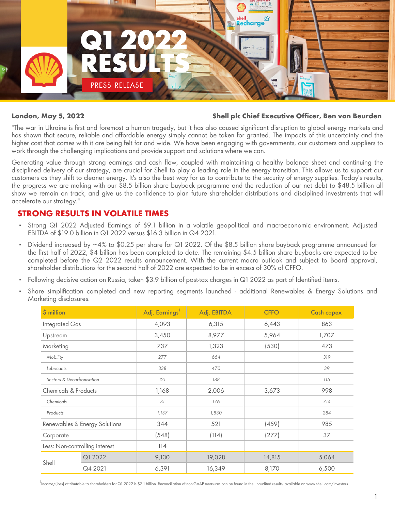

#### **London, May 5, 2022 Shell plc Chief Executive Officer, Ben van Beurden**

"The war in Ukraine is first and foremost a human tragedy, but it has also caused significant disruption to global energy markets and has shown that secure, reliable and affordable energy simply cannot be taken for granted. The impacts of this uncertainty and the higher cost that comes with it are being felt far and wide. We have been engaging with governments, our customers and suppliers to work through the challenging implications and provide support and solutions where we can.

Generating value through strong earnings and cash flow, coupled with maintaining a healthy balance sheet and continuing the disciplined delivery of our strategy, are crucial for Shell to play a leading role in the energy transition. This allows us to support our customers as they shift to cleaner energy. It's also the best way for us to contribute to the security of energy supplies. Today's results, the progress we are making with our \$8.5 billion share buyback programme and the reduction of our net debt to \$48.5 billion all show we remain on track, and give us the confidence to plan future shareholder distributions and disciplined investments that will accelerate our strategy."

# **STRONG RESULTS IN VOLATILE TIMES**

- Strong Q1 2022 Adjusted Earnings of \$9.1 billion in a volatile geopolitical and macroeconomic environment. Adjusted EBITDA of \$19.0 billion in Q1 2022 versus \$16.3 billion in Q4 2021.
- Dividend increased by ~4% to \$0.25 per share for Q1 2022. Of the \$8.5 billion share buyback programme announced for the first half of 2022, \$4 billion has been completed to date. The remaining \$4.5 billion share buybacks are expected to be completed before the Q2 2022 results announcement. With the current macro outlook and subject to Board approval, shareholder distributions for the second half of 2022 are expected to be in excess of 30% of CFFO.
- Following decisive action on Russia, taken \$3.9 billion of post-tax charges in Q1 2022 as part of Identified items.
- Share simplification completed and new reporting segments launched additional Renewables & Energy Solutions and *Marketing disclosures.*

| \$ million                     |         | Adj. Earnings <sup>1</sup> | Adj. EBITDA | <b>CFFO</b> | <b>Cash capex</b> |
|--------------------------------|---------|----------------------------|-------------|-------------|-------------------|
| Integrated Gas                 |         | 4,093                      | 6,315       | 6,443       | 863               |
| Upstream                       |         | 3,450                      | 8,977       | 5,964       | 1,707             |
| Marketing                      |         | 737                        | 1,323       | (530)       | 473               |
| Mobility                       |         | 277                        | 664         |             | 319               |
| Lubricants                     |         | 338                        | 470         |             | 39                |
| Sectors & Decarbonisation      |         | 121                        | 188         |             | 115               |
| Chemicals & Products           |         | 1,168                      | 2,006       | 3,673       | 998               |
| Chemicals                      |         | 31                         | 176         |             | 714               |
| Products                       |         | 1,137                      | 1,830       |             | 284               |
| Renewables & Energy Solutions  |         | 344                        | 521         | (459)       | 985               |
| Corporate                      |         | (548)                      | (114)       | (277)       | 37                |
| Less: Non-controlling interest |         | 114                        |             |             |                   |
| Shell                          | Q1 2022 | 9,130                      | 19,028      | 14,815      | 5,064             |
|                                | Q4 2021 | 6,391                      | 16,349      | 8,170       | 6,500             |

<sup>1</sup><br>Income/(loss) attributable to shareholders for Q1 2022 is \$7.1 billion. Reconciliation of non-GAAP measures can be found in the unaudited results, available on www.shell.com/investors.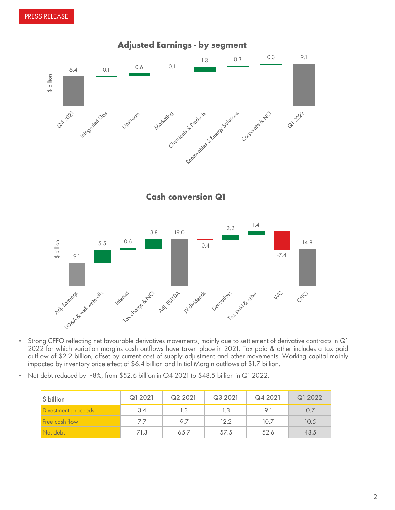



- Strong CFFO reflecting net favourable derivatives movements, mainly due to settlement of derivative contracts in Q1 2022 for which variation margins cash outflows have taken place in 2021. Tax paid & other includes a tax paid outflow of \$2.2 billion, offset by current cost of supply adjustment and other movements. Working capital mainly impacted by inventory price effect of \$6.4 billion and Initial Margin outflows of \$1.7 billion.
- Net debt reduced by ~8%, from \$52.6 billion in Q4 2021 to \$48.5 billion in Q1 2022.

| \$ billion          | Q1 2021 | Q2 2021 | Q3 2021 | Q4 2021 | Q1 2022 |
|---------------------|---------|---------|---------|---------|---------|
| Divestment proceeds | 3.4     | 1.3     | 1.3     | 91      | 0.7     |
| Free cash flow      | 77      | 97      | 12.2    | 10.7    | 10.5    |
| Net debt            | 71.3    | 65.7    | 57.5    | 52.6    | 48.5    |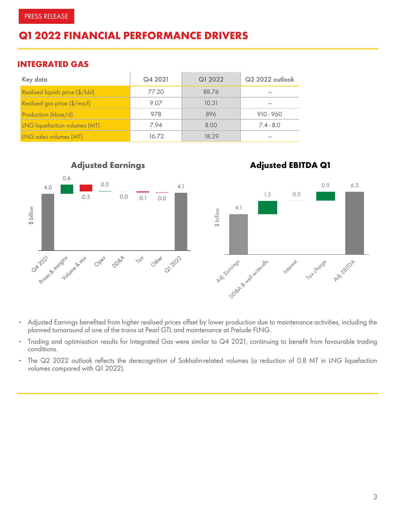# **Q1 2022 FINANCIAL PERFORMANCE DRIVERS**

# **INTEGRATED GAS**

| Key data                             | Q4 2021 | Q1 2022 | Q2 2022 outlook |
|--------------------------------------|---------|---------|-----------------|
| Realised liquids price (\$/bbl)      | 77.20   | 88.76   |                 |
| Realised gas price $(\frac{5}{msc})$ | 9.07    | 10.31   |                 |
| Production (kboe/d)                  | 978     | 896     | $910 - 960$     |
| <b>LNG</b> liquefaction volumes (MT) | 7.94    | 8.00    | $7.4 - 8.0$     |
| LNG sales volumes (MT)               | 16.72   | 18.29   |                 |



- Adjusted Earnings benefited from higher realised prices offset by lower production due to maintenance activities, including the planned turnaround of one of the trains at Pearl GTL and maintenance at Prelude FLNG.
- Trading and optimisation results for Integrated Gas were similar to Q4 2021, continuing to benefit from favourable trading conditions.
- *The Q2 2022 outlook reflects the derecognition of Sakhalin-related volumes (a reduction of 0.8 MT in LNG liquefaction volumes compared with Q1 2022).*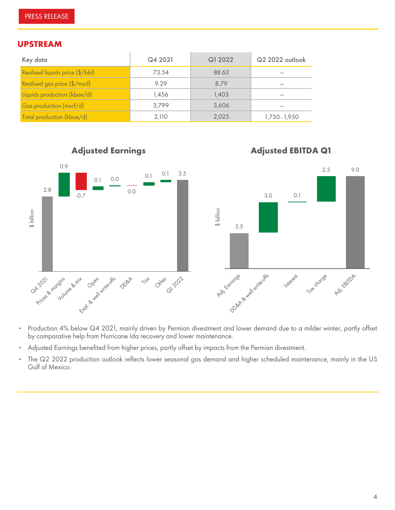#### **UPSTREAM**

| Key data                        | Q4 2021 | Q1 2022 | Q2 2022 outlook |
|---------------------------------|---------|---------|-----------------|
| Realised liquids price (\$/bbl) | 73.54   | 88.63   |                 |
| Realised gas price (\$/mscf)    | 9.29    | 8.79    |                 |
| Liquids production (kboe/d)     | 1.456   | 1.403   |                 |
| Gas production (mscf/d)         | 3.799   | 3,606   |                 |
| Total production (kboe/d)       | 2,110   | 2,025   | 1,750 - 1,950   |



- Production 4% below Q4 2021, mainly driven by Permian divestment and lower demand due to a milder winter, partly offset by comparative help from Hurricane Ida recovery and lower maintenance.
- Adjusted Earnings benefited from higher prices, partly offset by impacts from the Permian divestment.
- *The Q2 2022 production outlook reflects lower seasonal gas demand and higher scheduled maintenance, mainly in the US Gulf of Mexico.*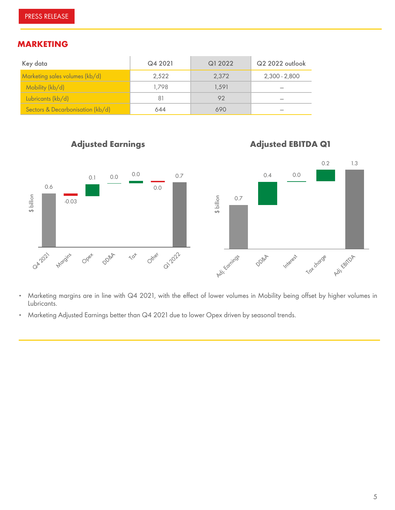# **MARKETING**

| Key data                         | Q4 2021 | Q1 2022 | Q2 2022 outlook |
|----------------------------------|---------|---------|-----------------|
| Marketing sales volumes (kb/d)   | 2.522   | 2.372   | 2,300 - 2,800   |
| Mobility (kb/d)                  | 1.798   | 1.591   |                 |
| Lubricants (kb/d)                | 81      | 92      |                 |
| Sectors & Decarbonisation (kb/d) | 644     | 690     |                 |



- Marketing margins are in line with Q4 2021, with the effect of lower volumes in Mobility being offset by higher volumes in Lubricants.
- Marketing Adjusted Earnings better than Q4 2021 due to lower Opex driven by seasonal trends.

*Tax*

# *Adjusted EBITDA Q1*

*Interest*

*Tax charge*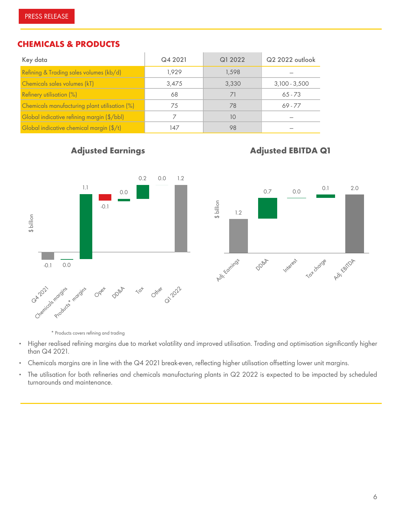### **CHEMICALS & PRODUCTS**

| Key data                                      | Q4 2021 | Q1 2022 | Q2 2022 outlook |
|-----------------------------------------------|---------|---------|-----------------|
| Refining & Trading sales volumes (kb/d)       | 1.929   | 1.598   |                 |
| Chemicals sales volumes (kT)                  | 3,475   | 3,330   | $3,100 - 3,500$ |
| Refinery utilisation (%)                      | 68      |         | $65 - 73$       |
| Chemicals manufacturing plant utilisation (%) | 75      | 78      | $69 - 77$       |
| Global indicative refining margin (\$/bbl)    |         | 10      |                 |
| Global indicative chemical margin (\$/t)      | 147     | 98      |                 |

# *Adjusted Earnings*

# *Adjusted EBITDA Q1*



\* *Products covers refining and trading*

- Higher realised refining margins due to market volatility and improved utilisation. Trading and optimisation significantly higher than Q4 2021.
- Chemicals margins are in line with the Q4 2021 break-even, reflecting higher utilisation offsetting lower unit margins.
- The utilisation for both refineries and chemicals manufacturing plants in Q2 2022 is expected to be impacted by scheduled turnarounds and maintenance.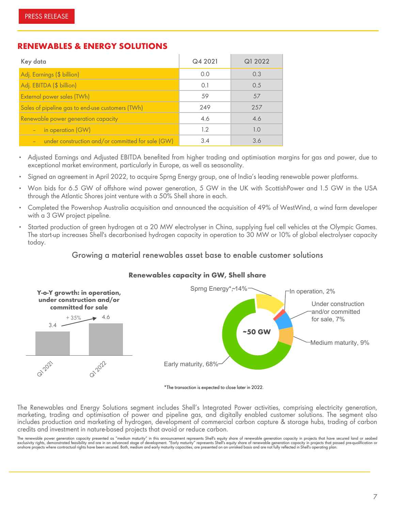# **RENEWABLES & ENERGY SOLUTIONS**

| Key data                                                | Q4 2021 | Q1 2022 |
|---------------------------------------------------------|---------|---------|
| Adj. Earnings (\$ billion)                              | 0.0     | 0.3     |
| Adj. EBITDA (\$ billion)                                | 0.1     | 0.5     |
| External power sales (TWh)                              | 59      | .57     |
| Sales of pipeline gas to end-use customers (TWh)        | 249     | 257     |
| Renewable power generation capacity                     | 4.6     | 4.6     |
| in operation (GW)<br>$\equiv$                           | 1.2     | 10      |
| under construction and/or committed for sale (GW)<br>е, | 34      | 3.6     |

- Adjusted Earnings and Adjusted EBITDA benefited from higher trading and optimisation margins for gas and power, due to exceptional market environment, particularly in Europe, as well as seasonality.
- Signed an agreement in April 2022, to acquire Sprng Energy group, one of India's leading renewable power platforms.
- Won bids for 6.5 GW of offshore wind power generation, 5 GW in the UK with ScottishPower and 1.5 GW in the USA through the Atlantic Shores joint venture with a 50% Shell share in each.
- Completed the Powershop Australia acquisition and announced the acquisition of 49% of WestWind, a wind farm developer with a 3 GW project pipeline.
- Started production of green hydrogen at a 20 MW electrolyser in China, supplying fuel cell vehicles at the Olympic Games. The start-up increases Shell's decarbonised hydrogen capacity in operation to 30 MW or 10% of global electrolyser capacity today.

#### **Growing a material renewables asset base to enable customer solutions**



### **Renewables capacity in GW, Shell share**

#### \*The transaction is expected to close later in 2022.

*The Renewables and Energy Solutions segment includes Shell's Integrated Power activities, comprising electricity generation, marketing, trading and optimisation of power and pipeline gas, and digitally enabled customer solutions. The segment also includes production and marketing of hydrogen, development of commercial carbon capture & storage hubs, trading of carbon credits and investment in nature-based projects that avoid or reduce carbon.* 

The renewable power generation capacity presented as "medium maturity" in this announcement represents Shell's equity share of renewable generation capacity in projects that have secured land or seabed<br>exclusivity rights,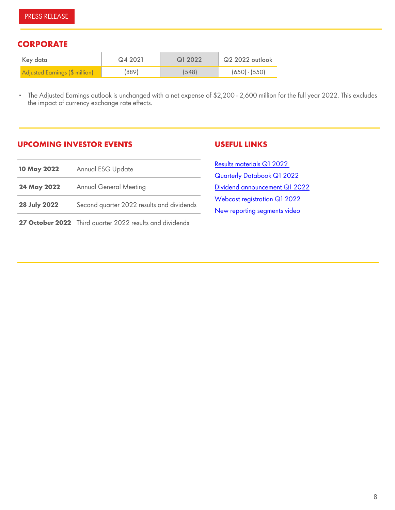# **CORPORATE**

| Key data                       | Q4 2021 | G1 2022 | Q2 2022 outlook |
|--------------------------------|---------|---------|-----------------|
| Adjusted Earnings (\$ million) | (889)   | (548)   | $(650) - (550)$ |

▪ *The Adjusted Earnings outlook is unchanged with a net expense of \$2,200 - 2,600 million for the full year 2022. This excludes the impact of currency exchange rate effects.*

# **UPCOMING INVESTOR EVENTS**

#### **USEFUL LINKS**

| 10 May 2022         | Annual ESG Update                                        | <b>Results materials Q1 2022</b>                             |  |
|---------------------|----------------------------------------------------------|--------------------------------------------------------------|--|
|                     |                                                          | <b>Quarterly Databook Q1 2022</b>                            |  |
| 24 May 2022         | <b>Annual General Meeting</b>                            | Dividend announcement Q1 2022                                |  |
| <b>28 July 2022</b> | Second quarter 2022 results and dividends                | Webcast registration Q1 2022<br>New reporting segments video |  |
|                     | 27 October 2022 Third quarter 2022 results and dividends |                                                              |  |